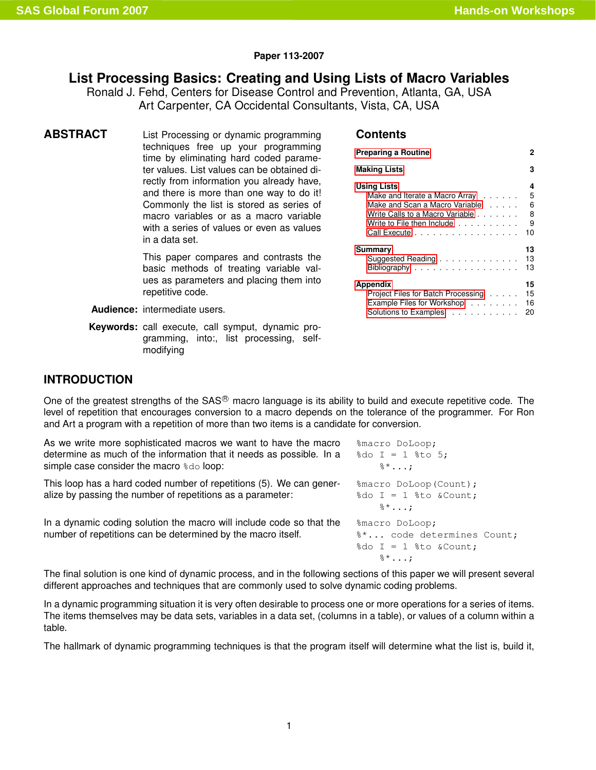### **Paper 113-2007**

# **List Processing Basics: Creating and Using Lists of Macro Variables**

Ronald J. Fehd, Centers for Disease Control and Prevention, Atlanta, GA, USA Art Carpenter, CA Occidental Consultants, Vista, CA, USA

**ABSTRACT** List Processing or dynamic programming techniques free up your programming time by eliminating hard coded parameter values. List values can be obtained directly from information you already have, and there is more than one way to do it! Commonly the list is stored as series of macro variables or as a macro variable with a series of values or even as values in a data set.

> This paper compares and contrasts the basic methods of treating variable values as parameters and placing them into repetitive code.

**Audience:** intermediate users.

**Keywords:** call execute, call symput, dynamic programming, into:, list processing, selfmodifying

## **Contents**

| <b>Preparing a Routine</b>         | 2  |
|------------------------------------|----|
| <b>Making Lists</b>                | з  |
| <b>Using Lists</b>                 | 4  |
| Make and Iterate a Macro Array     | 5  |
| Make and Scan a Macro Variable     | 6  |
| Write Calls to a Macro Variable    | 8  |
| Write to File then Include         | 9  |
| Call Execute                       | 10 |
| Summary                            | 13 |
| Suggested Reading                  | 13 |
| Bibliography                       | 13 |
| Appendix                           | 15 |
| Project Files for Batch Processing | 15 |
| Example Files for Workshop         | 16 |
| Solutions to Examples              | 20 |

%do  $I = 1$  %to &Count;

 $\frac{8}{6}$ \*...;

## **INTRODUCTION**

One of the greatest strengths of the SAS<sup>®</sup> macro language is its ability to build and execute repetitive code. The level of repetition that encourages conversion to a macro depends on the tolerance of the programmer. For Ron and Art a program with a repetition of more than two items is a candidate for conversion.

| As we write more sophisticated macros we want to have the macro                                                                   | %macro DoLoop;                                                               |
|-----------------------------------------------------------------------------------------------------------------------------------|------------------------------------------------------------------------------|
| determine as much of the information that it needs as possible. In a                                                              | $\text{6d}$ I = 1 $\text{6d}$ 5;                                             |
| simple case consider the macro \$do loop:                                                                                         | $\delta^*$ ;                                                                 |
| This loop has a hard coded number of repetitions (5). We can gener-<br>alize by passing the number of repetitions as a parameter: | %macro DoLoop (Count);<br>%do $I = 1$ %to & Count;<br>$\mathbb{S}^{\star}$ ; |
| In a dynamic coding solution the macro will include code so that the                                                              | %macro DoLoop;                                                               |
| number of repetitions can be determined by the macro itself.                                                                      | %* code determines Count;                                                    |

The final solution is one kind of dynamic process, and in the following sections of this paper we will present several different approaches and techniques that are commonly used to solve dynamic coding problems.

In a dynamic programming situation it is very often desirable to process one or more operations for a series of items. The items themselves may be data sets, variables in a data set, (columns in a table), or values of a column within a table.

The hallmark of dynamic programming techniques is that the program itself will determine what the list is, build it,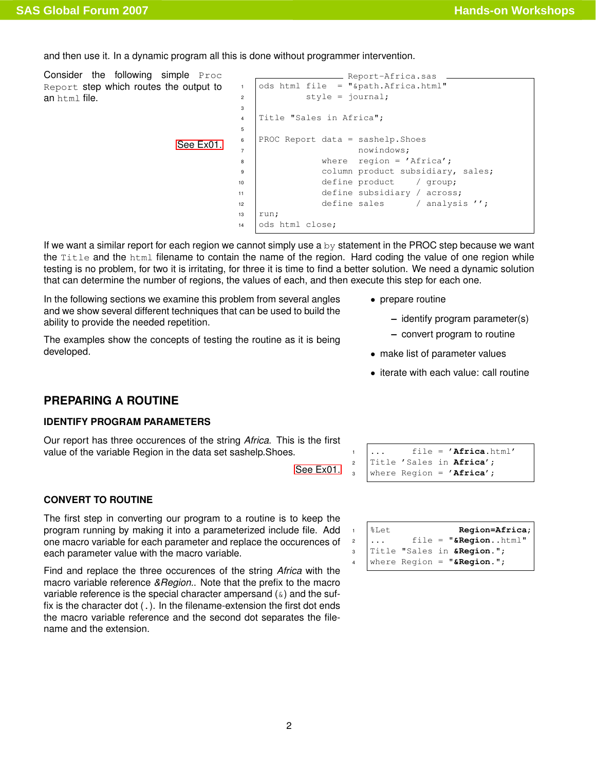<span id="page-1-1"></span>and then use it. In a dynamic program all this is done without programmer intervention.

| ods html file = "&path.Africa.html"<br>Report step which routes the output to<br>$\mathbf{1}$<br>style = $\text{journal:}$<br>$\overline{2}$<br>an html file.<br>3<br>Title "Sales in Africa";<br>$\overline{4}$<br>5<br>PROC Report data = sashelp. Shoes<br>6<br>See Ex01.<br>nowindows;<br>$\overline{7}$<br>where region = $'Africa$ ;<br>8<br>column product subsidiary, sales;<br>9<br>define product<br>/ group;<br>10<br>define subsidiary / across;<br>11<br>define sales<br>/ analysis '';<br>12<br>13<br>run;<br>ods html close;<br>14 | Consider the following simple Proc |  | Report-Africa.sas |
|---------------------------------------------------------------------------------------------------------------------------------------------------------------------------------------------------------------------------------------------------------------------------------------------------------------------------------------------------------------------------------------------------------------------------------------------------------------------------------------------------------------------------------------------------|------------------------------------|--|-------------------|
|                                                                                                                                                                                                                                                                                                                                                                                                                                                                                                                                                   |                                    |  |                   |
|                                                                                                                                                                                                                                                                                                                                                                                                                                                                                                                                                   |                                    |  |                   |
|                                                                                                                                                                                                                                                                                                                                                                                                                                                                                                                                                   |                                    |  |                   |
|                                                                                                                                                                                                                                                                                                                                                                                                                                                                                                                                                   |                                    |  |                   |
|                                                                                                                                                                                                                                                                                                                                                                                                                                                                                                                                                   |                                    |  |                   |
|                                                                                                                                                                                                                                                                                                                                                                                                                                                                                                                                                   |                                    |  |                   |
|                                                                                                                                                                                                                                                                                                                                                                                                                                                                                                                                                   |                                    |  |                   |
|                                                                                                                                                                                                                                                                                                                                                                                                                                                                                                                                                   |                                    |  |                   |
|                                                                                                                                                                                                                                                                                                                                                                                                                                                                                                                                                   |                                    |  |                   |
|                                                                                                                                                                                                                                                                                                                                                                                                                                                                                                                                                   |                                    |  |                   |
|                                                                                                                                                                                                                                                                                                                                                                                                                                                                                                                                                   |                                    |  |                   |
|                                                                                                                                                                                                                                                                                                                                                                                                                                                                                                                                                   |                                    |  |                   |
|                                                                                                                                                                                                                                                                                                                                                                                                                                                                                                                                                   |                                    |  |                   |
|                                                                                                                                                                                                                                                                                                                                                                                                                                                                                                                                                   |                                    |  |                   |

If we want a similar report for each region we cannot simply use a by statement in the PROC step because we want the Title and the html filename to contain the name of the region. Hard coding the value of one region while testing is no problem, for two it is irritating, for three it is time to find a better solution. We need a dynamic solution that can determine the number of regions, the values of each, and then execute this step for each one.

In the following sections we examine this problem from several angles and we show several different techniques that can be used to build the ability to provide the needed repetition.

The examples show the concepts of testing the routine as it is being developed.

- prepare routine
	- **–** identify program parameter(s)
	- **–** convert program to routine
- make list of parameter values
- iterate with each value: call routine

# **PREPARING A ROUTINE**

### <span id="page-1-0"></span>**IDENTIFY PROGRAM PARAMETERS**

Our report has three occurences of the string *Africa*. This is the first value of the variable Region in the data set sashelp.Shoes.

[See Ex01.](#page-15-1)

|  | <sup>1</sup> file = 'Africa.html'<br><sup>2</sup> Title 'Sales in Africa';<br><sup>3</sup> where Region = 'Africa'; |
|--|---------------------------------------------------------------------------------------------------------------------|
|  |                                                                                                                     |

|                | $1 \t \n$ let | Region=Africa;                              |
|----------------|---------------|---------------------------------------------|
| $\overline{a}$ | .             | file = "&Regionhtml"                        |
|                |               | 3   Title "Sales in & Region.";             |
|                |               | $\frac{1}{4}$   where Region = "& Region."; |

### **CONVERT TO ROUTINE**

The first step in converting our program to a routine is to keep the program running by making it into a parameterized include file. Add one macro variable for each parameter and replace the occurences of each parameter value with the macro variable.

Find and replace the three occurences of the string *Africa* with the macro variable reference *&Region.*. Note that the prefix to the macro variable reference is the special character ampersand  $(s)$  and the suffix is the character dot (.). In the filename-extension the first dot ends the macro variable reference and the second dot separates the filename and the extension.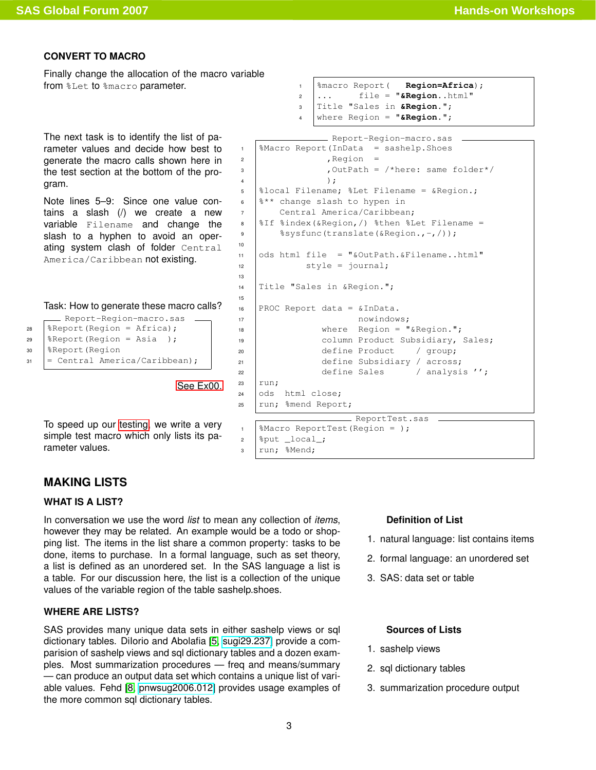### **CONVERT TO MACRO**

Finally change the allocation of the macro variable from  $\S$ Let to  $\S$ macro parameter.  $\qquad \qquad$ 1  $\qquad \S$ macro Report (**Region=Africa**);

<span id="page-2-3"></span>The next task is to identify the list of parameter values and decide how best to generate the macro calls shown here in the test section at the bottom of the program.

Note lines 5–9: Since one value contains a slash (/) we create a new variable Filename and change the slash to a hyphen to avoid an operating system clash of folder Central America/Caribbean not existing.

### Task: How to generate these macro calls?

```
Report-Region-macro.sas
28 | \text{Report}(\text{Region} = \text{Africa});
29 | \text{Report}(\text{Region} = \text{Asia});
30 %Report(Region
31 = Central America/Caribbean);
```
[See Ex00.](#page-15-0)

13

15

<span id="page-2-1"></span>To speed up our [testing,](#page-6-0) we write a very simple test macro which only lists its parameter values.

```
\frac{1}{2} ... file = "\frac{1}{2}Region..html"
3 Title "Sales in &Region.";
4 where Region = "&Region.";
```

```
- Report-Region-macro.sas
1 %Macro Report(InData = sashelp.Shoes
2 \left| \right| , Region =
3 \mid , OutPath = /*here: same folder*/
 4 );
5 %local Filename; %Let Filename = &Region.;
6 \frac{8}{3} \frac{12}{3} change slash to hypen in
7 | Central America/Caribbean;
8 \mid 15 \mid andex(&Region, /) %then %Let Filename =
9 \frac{1}{2} \frac{2}{3} \frac{2}{3} \frac{2}{3} \frac{1}{2} \frac{1}{2} \frac{1}{2} \frac{1}{2} \frac{1}{2} \frac{1}{2} \frac{1}{2} \frac{1}{2} \frac{1}{2} \frac{1}{2} \frac{1}{2} \frac{1}{2} \frac{1}{2} \frac{1}{2} \frac{1}{2} \frac{1}{2} \frac{1}{2} \frac{1}{2}10
11 ods html file = "&OutPath.&Filename..html"
12 style = journal;
14 Title "Sales in &Region.";
16 PROC Report data = &InData.
17 | nowindows;
18 | Where Region = "&Region.";
19 | column Product Subsidiary, Sales;
20 define Product / group;
21 | define Subsidiary / across;
22 define Sales / analysis '';
23 run:
24 ods html close;
25 | run; %mend Report;
                         ReportTest.sas
```

```
1 | %Macro ReportTest(Region = );
2 \left[ \text{8put} \left[ \text{local} \right]3 run; %Mend;
```
### **MAKING LISTS**

### <span id="page-2-0"></span>**WHAT IS A LIST?**

In conversation we use the word *list* to mean any collection of *items*, however they may be related. An example would be a todo or shopping list. The items in the list share a common property: tasks to be done, items to purchase. In a formal language, such as set theory, a list is defined as an unordered set. In the SAS language a list is a table. For our discussion here, the list is a collection of the unique values of the variable region of the table sashelp.shoes.

### **WHERE ARE LISTS?**

<span id="page-2-2"></span>SAS provides many unique data sets in either sashelp views or sql dictionary tables. DiIorio and Abolafia [\[5,](#page-12-3) [sugi29.237\]](http://www2.sas.com/proceedings/sugi29/237-29.pdf) provide a comparision of sashelp views and sql dictionary tables and a dozen examples. Most summarization procedures — freq and means/summary — can produce an output data set which contains a unique list of variable values. Fehd [\[8,](#page-13-0) [pnwsug2006.012\]](http://www.pnwsug.com/Conference_2006/Procedings/PNWSUGotherfiles/PN12FehdSQL.pdf) provides usage examples of the more common sql dictionary tables.

### **Definition of List**

- 1. natural language: list contains items
- 2. formal language: an unordered set
- 3. SAS: data set or table

### **Sources of Lists**

- 1. sashelp views
- 2. sql dictionary tables
- 3. summarization procedure output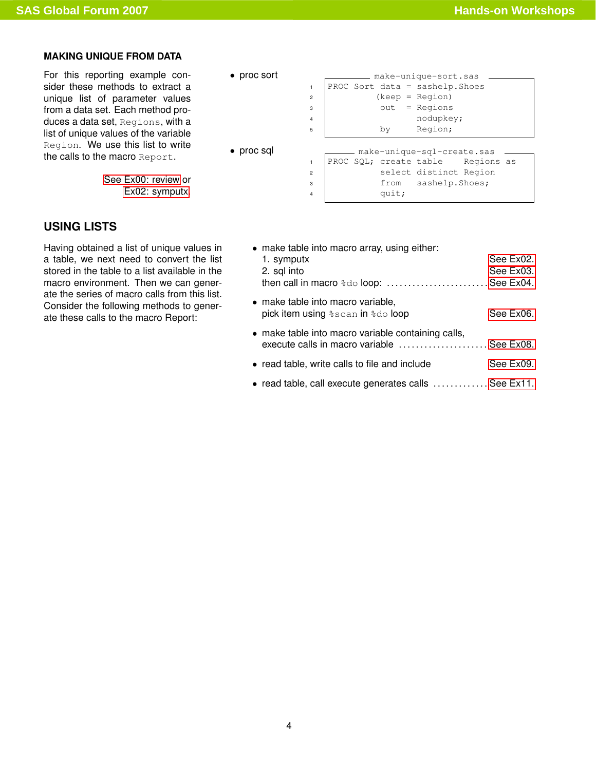## **MAKING UNIQUE FROM DATA**

For this reporting example consider these methods to extract a unique list of parameter values from a data set. Each method produces a data set, Regions, with a list of unique values of the variable Region. We use this list to write the calls to the macro Report.

> [See Ex00: review](#page-15-0) or [Ex02: symputx.](#page-15-2)

# **USING LISTS**

<span id="page-3-0"></span>Having obtained a list of unique values in a table, we next need to convert the list stored in the table to a list available in the macro environment. Then we can generate the series of macro calls from this list. Consider the following methods to generate these calls to the macro Report:

|  | proc sort |  |
|--|-----------|--|
|--|-----------|--|

| • proc sort        |  |       | make-unique-sort.sas              |  |
|--------------------|--|-------|-----------------------------------|--|
|                    |  |       | PROC Sort data = sashelp. Shoes   |  |
| $\overline{c}$     |  |       | $(keep = Region)$                 |  |
| 3                  |  |       | $out = Regions$                   |  |
| 4                  |  |       | nodupkey;                         |  |
| 5                  |  | bv    | Region;                           |  |
|                    |  |       |                                   |  |
| $\bullet$ proc sql |  |       | make-unique-sql-create.sas        |  |
|                    |  |       | PROC SQL; create table Regions as |  |
| $\overline{a}$     |  |       | select distinct Region            |  |
| 3                  |  |       | from sashelp. Shoes;              |  |
| 4                  |  | quit; |                                   |  |

| • make table into macro array, using either:<br>1. symputx<br>2. sql into<br>then call in macro $\frac{1}{6}$ loop:  See Ex04. | See Ex02.<br>See Ex03. |
|--------------------------------------------------------------------------------------------------------------------------------|------------------------|
| • make table into macro variable,<br>pick item using <i>\</i> scan in \do loop                                                 | See Ex06.              |
| • make table into macro variable containing calls,<br>execute calls in macro variable  See Ex08.                               |                        |
| • read table, write calls to file and include                                                                                  | See Ex09.              |
| • read table, call execute generates calls  See Ex11.                                                                          |                        |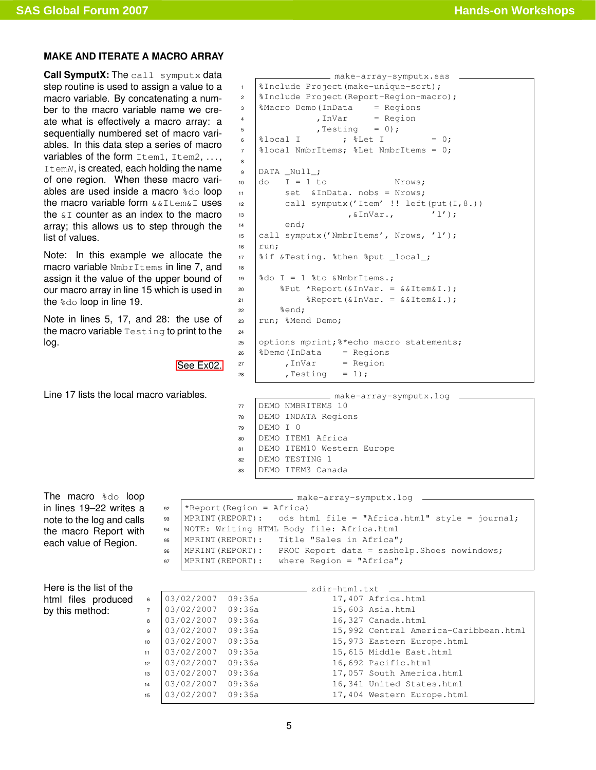### <span id="page-4-0"></span>**MAKE AND ITERATE A MACRO ARRAY**

**Call SymputX:** The call symputx data step routine is used to assign a value to a macro variable. By concatenating a number to the macro variable name we create what is effectively a macro array: a sequentially numbered set of macro variables. In this data step a series of macro variables of the form Item1, Item2, ..., ItemN, is created, each holding the name of one region. When these macro variables are used inside a macro %do loop the macro variable form  $&\&\text{Item&I}$  uses the  $\&I$  counter as an index to the macro array; this allows us to step through the list of values.

Note: In this example we allocate the macro variable NmbrItems in line 7, and assign it the value of the upper bound of our macro array in line 15 which is used in the %do loop in line 19.

Note in lines 5, 17, and 28: the use of the macro variable Testing to print to the log.

[See Ex02.](#page-15-2)

Line 17 lists the local macro variables.

```
make-array-symputx.sas
1 | SInclude Project (make-unique-sort) ;
<sup>2</sup> SInclude Project (Report-Region-macro);
3 \frac{\text{Maccro Demo}}{\text{ImData}} = \text{Regions}4 , InVar = Region
5 \mid , Testing = 0);
 6 \text{3local I} ; \text{3Let I} = 0;
7 %local NmbrItems; %Let NmbrItems = 0;
8
9 DATA _Null_;
10 \quad \text{do} \quad I = 1 \text{ to} Nrows;
11 set &InData. nobs = Nrows;
12 call symputx ('Item' !! left(put(I,8.))
\sum_{i=1}^{\infty} , \sum_{i=1}^{\infty} , \sum_{i=1}^{\infty} , \sum_{i=1}^{\infty} , \sum_{i=1}^{\infty} , \sum_{i=1}^{\infty} , \sum_{i=1}^{\infty} , \sum_{i=1}^{\infty} , \sum_{i=1}^{\infty} , \sum_{i=1}^{\infty} , \sum_{i=1}^{\infty} , \sum_{i=1}^{\infty} , \sum_{i=1}^{\infty} , 
14 end;
15 call symputx('NmbrItems', Nrows, 'l');
16 run;
17 | &if & Testing. & then & put _local_;
18
19 \frac{1}{3} & \frac{1}{1} \frac{1}{3} \frac{1}{3} \frac{1}{3} \frac{1}{3} \frac{1}{3} \frac{1}{3} \frac{1}{3} \frac{1}{3} \frac{1}{3} \frac{1}{3} \frac{1}{3} \frac{1}{3} \frac{1}{3} \frac{1}{3} \frac{1}{3} \frac{1}{3} \frac{1}{3} \frac{1}{3} \frac{1}{3} \frac{1}{20 \frac{1}{20} \frac{1}{20} \frac{1}{20} \frac{1}{20} \frac{1}{20} \frac{1}{20} \frac{1}{20} \frac{1}{20} \frac{1}{20} \frac{1}{20} \frac{1}{20} \frac{1}{20} \frac{1}{20} \frac{1}{20} \frac{1}{20} \frac{1}{20} \frac{1}{20} \frac{1}{20} \frac{1}{20} \frac{1}{221 \&\text{Report}(\&\text{InVar.} = \&\text{Item}\&\text{I.});22 \approx \approx \approx \approx \approx23 run; %Mend Demo;
24
25 options mprint; % *echo macro statements;
26 \sqrt{2}Demo(InData = Regions
27 , InVar = Region
28 , Testing = 1);
```

|    |          | make-array-symputx.log     |
|----|----------|----------------------------|
| 77 |          | DEMO NMBRITEMS 10          |
| 78 |          | DEMO INDATA Regions        |
|    |          |                            |
| 79 | DEMO T 0 |                            |
| 80 |          | DEMO ITEM1 Africa          |
| 81 |          | DEMO ITEM10 Western Europe |
| 82 |          | DEMO TESTING 1             |
| 83 |          | DEMO ITEM3 Canada          |
|    |          |                            |

The macro %do loop in lines 19–22 writes a note to the log and calls the macro Report with each value of Region.

| make-array-symputx.log _______<br>*Report (Region = Africa)<br>92<br>MPRINT (REPORT): ods html file = "Africa.html" style = journal;<br>93 |  |
|--------------------------------------------------------------------------------------------------------------------------------------------|--|
|                                                                                                                                            |  |
|                                                                                                                                            |  |
|                                                                                                                                            |  |
|                                                                                                                                            |  |
| NOTE: Writing HTML Body file: Africa.html<br>94                                                                                            |  |
| MPRINT(REPORT): Title "Sales in Africa";<br>95                                                                                             |  |
| MPRINT (REPORT) :<br>PROC Report data = sashelp. Shoes nowindows;<br>96                                                                    |  |
| MPRINT (REPORT) :<br>where Region = "Africa";<br>97                                                                                        |  |

Here is the list of the html files produced by this method:

|                |                   |        | zdir-html.txt |                                       |
|----------------|-------------------|--------|---------------|---------------------------------------|
| 6              | 03/02/2007        | 09:36a |               | 17,407 Africa.html                    |
| $\overline{7}$ | 03/02/2007        | 09:36a |               | 15,603 Asia.html                      |
| 8              | 03/02/2007        | 09:36a |               | 16,327 Canada.html                    |
| 9              | 03/02/2007        | 09:36a |               | 15,992 Central America-Caribbean.html |
| 10             | 03/02/2007        | 09:35a |               | 15,973 Eastern Europe.html            |
| 11             | 03/02/2007 09:35a |        |               | 15,615 Middle East.html               |
| 12             | 03/02/2007        | 09:36a |               | 16,692 Pacific.html                   |
| 13             | 03/02/2007        | 09:36a |               | 17,057 South America.html             |
| 14             | 03/02/2007        | 09:36a |               | 16,341 United States.html             |
| 15             | 03/02/2007 09:36a |        |               | 17,404 Western Europe.html            |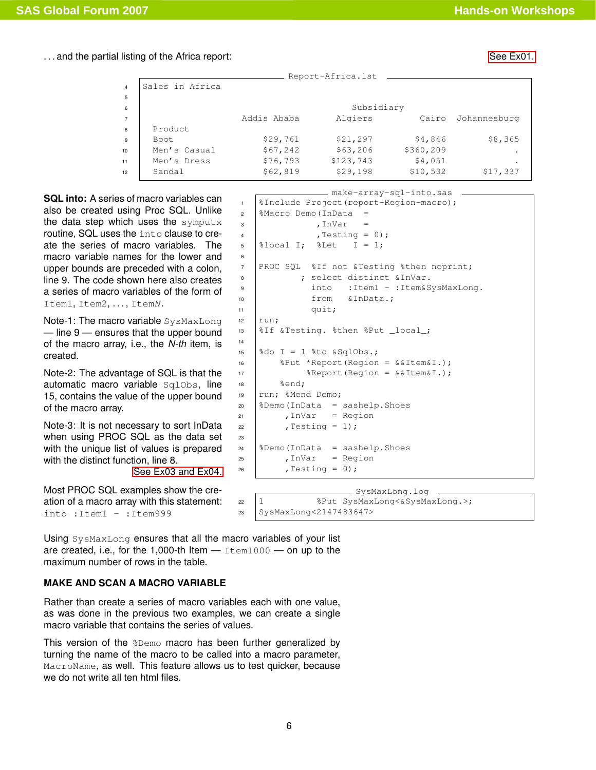. . . and the partial listing of the Africa report: [See Ex01.](#page-15-1)

|                 |                 |             | Report-Africa.lst |           |              |
|-----------------|-----------------|-------------|-------------------|-----------|--------------|
| $\overline{4}$  | Sales in Africa |             |                   |           |              |
| 5               |                 |             |                   |           |              |
| 6               |                 |             | Subsidiary        |           |              |
| $\overline{7}$  |                 | Addis Ababa | Algiers           | Cairo     | Johannesburg |
| 8               | Product         |             |                   |           |              |
| 9               | Boot            | \$29,761    | \$21, 297         | \$4,846   | \$8,365      |
| 10              | Men's Casual    | \$67,242    | \$63,206          | \$360,209 | ٠            |
| 11              | Men's Dress     | \$76,793    | \$123,743         | \$4,051   | $\bullet$    |
| 12 <sup>2</sup> | Sandal          | \$62,819    | \$29,198          | \$10,532  | \$17,337     |
|                 |                 |             |                   |           |              |

<span id="page-5-1"></span>**SQL into:** A series of macro variables can also be created using Proc SQL. Unlike the data step which uses the symputx routine, SQL uses the into clause to create the series of macro variables. The macro variable names for the lower and upper bounds are preceded with a colon, line 9. The code shown here also creates a series of macro variables of the form of Item1, Item2, ..., ItemN.

Note-1: The macro variable SysMaxLong — line 9 — ensures that the upper bound of the macro array, i.e., the *N-th* item, is created.

Note-2: The advantage of SQL is that the automatic macro variable SqlObs, line 15, contains the value of the upper bound of the macro array.

Note-3: It is not necessary to sort InData when using PROC SQL as the data set with the unique list of values is prepared with the distinct function, line 8. [See Ex03 and Ex04.](#page-15-3)

Most PROC SQL examples show the creation of a macro array with this statement: into :Item1 - :Item999

make-array-sql-into.sas 1 | *SInclude Project* (report-Region-macro);  $2 \frac{\text{Macro Demo}}{\text{ImData}}$  = 3 , InVar  $4 \quad | \quad \text{Testing} = 0);$  $5 \left| \text{3local I} \right|$   $\text{3Let}$   $I = 1$ ; 6 7 PROC SQL %If not &Testing %then noprint; 8 | ; select distinct & InVar. 9 into :Item1 - :Item&SysMaxLong. 10 from &InData.; <sup>11</sup> quit;  $12$  run; 13 | &If &Testing. &then &Put \_local\_; 14 15  $\&$  do I = 1  $\&$  to  $\&$  SqlObs.; 16 |  $\text{Put} \times \text{Report} (\text{Region} = \&\text{Item}\&\text{I.})$ ; 17  $\left| \right|$  & Report (Region = & & Item & I.);  $18$   $\text{send}$ ; 19 | run; %Mend Demo;  $20$   $\sqrt{2}$   $\sqrt{2}$   $\sqrt{2}$   $\sqrt{2}$   $\sqrt{2}$   $\sqrt{2}$   $\sqrt{2}$   $\sqrt{2}$   $\sqrt{2}$   $\sqrt{2}$   $\sqrt{2}$   $\sqrt{2}$   $\sqrt{2}$   $\sqrt{2}$   $\sqrt{2}$   $\sqrt{2}$   $\sqrt{2}$   $\sqrt{2}$   $\sqrt{2}$   $\sqrt{2}$   $\sqrt{2}$   $\sqrt{2}$   $\sqrt{2}$   $\sqrt{2}$   $\sqrt{2}$   $\sqrt{2}$   $\sqrt{2}$   $21$  , InVar = Region  $22$  , Testing = 1); 23  $24$   $\&$  Demo (InData = sashelp. Shoes  $25$  , InVar = Region  $26$  , Testing = 0);

```
SysMaxLong.log
22 1 %Put SysMaxLong<&SysMaxLong.>;
23 SysMaxLong<2147483647>
```
Using SysMaxLong ensures that all the macro variables of your list are created, i.e., for the 1,000-th Item  $-$  Item1000  $-$  on up to the maximum number of rows in the table.

## <span id="page-5-2"></span><span id="page-5-0"></span>**MAKE AND SCAN A MACRO VARIABLE**

Rather than create a series of macro variables each with one value, as was done in the previous two examples, we can create a single macro variable that contains the series of values.

This version of the %Demo macro has been further generalized by turning the name of the macro to be called into a macro parameter, MacroName, as well. This feature allows us to test quicker, because we do not write all ten html files.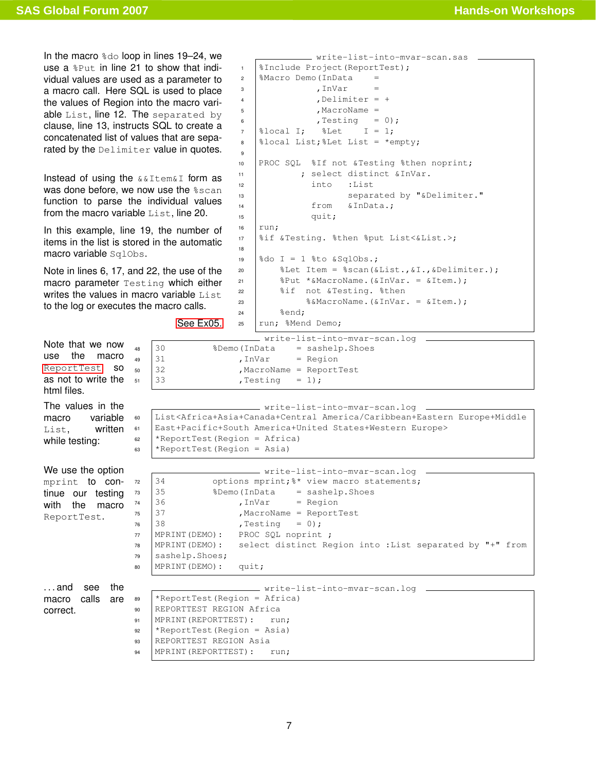In the macro  $\frac{1}{6}$  loop in lines 19–24, we use a %Put in line 21 to show that individual values are used as a parameter to a macro call. Here SQL is used to place the values of Region into the macro variable List, line 12. The separated by clause, line 13, instructs SQL to create a concatenated list of values that are separated by the Delimiter value in quotes.

Instead of using the &&Item&I form as was done before, we now use the  $\text{sscan}$ function to parse the individual values from the macro variable List, line 20.

In this example, line 19, the number of items in the list is stored in the automatic macro variable SqlObs.

Note in lines 6, 17, and 22, the use of the macro parameter Testing which either writes the values in macro variable List to the log or executes the macro calls.

[See Ex05.](#page-16-2)

```
write-list-into-mvar-scan.sas
1 | SInclude Project (ReportTest);
2 \frac{\text{Maccro Demo}}{\text{ImData}} =\frac{3}{10} , InVar =
\blacksquare , Delimiter = +
5 , MacroName =
6 \mid , Testing = 0);
7 \mid \text{slocal I}; \quad \text{sLet} \quad I = 1;8 \mid \text{3local List; } \text{2Let List} = \text{4empty; }9
10 PROC SQL %If not &Testing %then noprint;
11 | ; select distinct & InVar.
12 into :List
13 | Separated by "&Delimiter."
14 from &InData.;
15 quit;
16 run;
17 %if &Testing. %then %put List<&List.>;
18
19 \mid \text{6d} I = 1 \text{6d} & SqlObs.;
20 \parallel %Let Item = %scan(&List., &I., &Delimiter.);
21 \parallel \& Put *&MacroName.(& InVar. = & Item.);
22 %if not &Testing. %then
23 \&\text{Macrowame.}(\&\text{InVar.} = \&\text{Item.});24 \text{send};
25 | run; %Mend Demo;
```
<span id="page-6-0"></span>

|                           |    | write-list-into-mvar-scan.log                                                                                          |  |  |  |  |
|---------------------------|----|------------------------------------------------------------------------------------------------------------------------|--|--|--|--|
| Note that we now          | 48 | 30<br>%Demo (InData<br>= sashelp. Shoes                                                                                |  |  |  |  |
| the<br>use<br>macro       | 49 | 31<br>$, InVar = Region$                                                                                               |  |  |  |  |
| ReportTest SO             | 50 | 32<br>MacroName = ReportTest                                                                                           |  |  |  |  |
| as not to write the       | 51 | 33<br>$,$ Testing = 1);                                                                                                |  |  |  |  |
| html files.               |    |                                                                                                                        |  |  |  |  |
|                           |    |                                                                                                                        |  |  |  |  |
| The values in the         |    | _________ write-list-into-mvar-scan.log _____                                                                          |  |  |  |  |
| variable<br>macro         | 60 | List <africa+asia+canada+central america="" caribbean+eastern="" europe+middle<="" th=""></africa+asia+canada+central> |  |  |  |  |
| written<br>List.          | 61 | East+Pacific+South America+United States+Western Europe>                                                               |  |  |  |  |
| while testing:            | 62 | *ReportTest (Region = Africa)                                                                                          |  |  |  |  |
|                           | 63 | *ReportTest (Region = Asia)                                                                                            |  |  |  |  |
|                           |    |                                                                                                                        |  |  |  |  |
| We use the option         |    | ______ write-list-into-mvar-scan.log _                                                                                 |  |  |  |  |
| mprint to con-            | 72 | 34<br>options mprint; 8* view macro statements;                                                                        |  |  |  |  |
| tinue our testing         | 73 | 35<br>%Demo(InData = sashelp.Shoes                                                                                     |  |  |  |  |
| with<br>the<br>macro      | 74 | 36<br>$, InVar = Region$                                                                                               |  |  |  |  |
| ReportTest.               | 75 | 37<br>, MacroName = ReportTest                                                                                         |  |  |  |  |
|                           | 76 | 38<br>, Testing<br>$= 0;$                                                                                              |  |  |  |  |
|                           | 77 | PROC SQL noprint ;<br>MPRINT (DEMO):                                                                                   |  |  |  |  |
|                           | 78 | select distinct Region into : List separated by "+" from<br>MPRINT (DEMO):                                             |  |  |  |  |
|                           | 79 | sashelp.Shoes;                                                                                                         |  |  |  |  |
|                           | 80 | MPRINT (DEMO) :<br>quit;                                                                                               |  |  |  |  |
|                           |    |                                                                                                                        |  |  |  |  |
| the<br>$\dots$ and<br>see |    | __________ write-list-into-mvar-scan.log _______                                                                       |  |  |  |  |
| calls<br>macro<br>are     | 89 | *ReportTest (Region = Africa)                                                                                          |  |  |  |  |
| correct.                  | 90 | REPORTTEST REGION Africa                                                                                               |  |  |  |  |
|                           | 91 | MPRINT (REPORTTEST) :<br>run:                                                                                          |  |  |  |  |
|                           | 92 | *ReportTest (Region = Asia)                                                                                            |  |  |  |  |
|                           | 93 | REPORTTEST REGION Asia                                                                                                 |  |  |  |  |
|                           | 94 | MPRINT (REPORTTEST):<br>run;                                                                                           |  |  |  |  |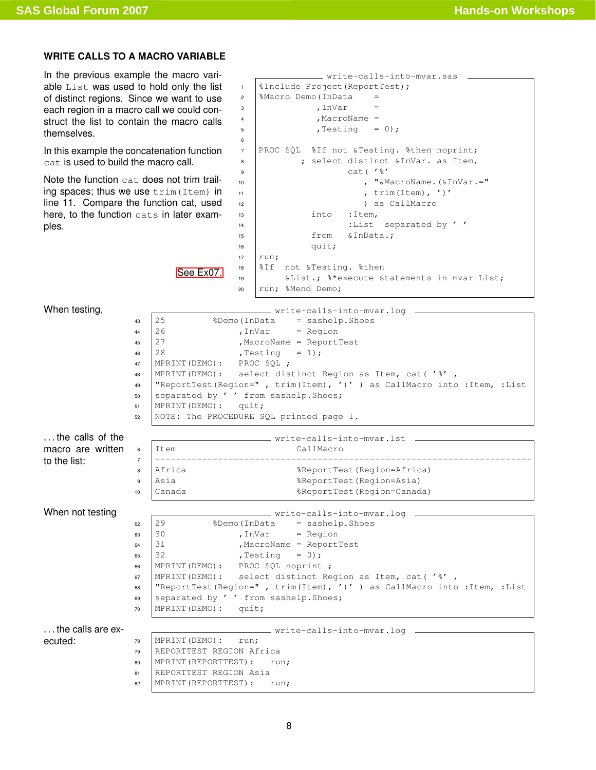## <span id="page-7-0"></span>**WRITE CALLS TO A MACRO VARIABLE**

In the previous example the macro variable List was used to hold only the list of distinct regions. Since we want to use each region in a macro call we could construct the list to contain the macro calls themselves.

In this example the concatenation function cat is used to build the macro call.

Note the function cat does not trim trailing spaces; thus we use trim(Item) in line 11. Compare the function cat, used here, to the function cats in later examples.

[See Ex07.](#page-17-2)

```
write-calls-into-mvar.sas
1 | SInclude Project (ReportTest);
2 \left| \text{%Maccro Demo (InData} \right| =\frac{3}{100} , InVar
4 \quad | \quad , MacroName =
5 \quad , Testing = 0);
6
7 PROC SQL %If not &Testing. %then noprint;
8 | ; select distinct &InVar. as Item,
9 cat('%'
10 | " \deltaMacroName. (\deltaInVar.="
11 , trim(Item), ')'
12 ) as CallMacro
13 into :Item,
14 | :List separated by '
15 | from &InData.;
16 quit;
17 run;
18 |&If not &Testing. &then
19 | &List.; %*execute statements in mvar List;
20 run; %Mend Demo;
```
<span id="page-7-1"></span>When testing,  $\sqrt{\frac{25}{25}}$   $\sqrt{\frac{25}{25}}$   $\sqrt{\frac{25}{25}}$   $\sqrt{\frac{25}{25}}$   $\sqrt{\frac{25}{25}}$   $\sqrt{\frac{25}{25}}$   $\sqrt{\frac{25}{25}}$   $\sqrt{\frac{25}{25}}$   $\sqrt{\frac{25}{25}}$   $\sqrt{\frac{25}{25}}$   $\sqrt{\frac{25}{25}}$   $\sqrt{\frac{25}{25}}$   $\sqrt{\frac{25}{25}}$   $\sqrt{\frac{25}{25}}$   $\sqrt{\frac{25}{25$  $43 \mid 25$  %Demo(InData = sashelp.Shoes  $44 \mid 26$  , InVar = Region  $45 \mid 27$  , MacroName = ReportTest 46  $28$  , Testing = 1); <sup>47</sup> MPRINT(DEMO): PROC SQL ; <sup>48</sup> MPRINT(DEMO): select distinct Region as Item, cat( '%' , <sup>49</sup> "ReportTest(Region=" , trim(Item), ')' ) as CallMacro into :Item, :List 50 separated by ' ' from sashelp. Shoes; <sup>51</sup> MPRINT(DEMO): quit; <sup>52</sup> NOTE: The PROCEDURE SQL printed page 1. . . . the calls of the macro are written to the list: write-calls-into-mvar.lst <sup>6</sup> Item CallMacro <sup>7</sup> ------------------------------------------------------------------------ 8 Africa <br>
8 ReportTest(Region=Africa) <sup>9</sup> Asia %ReportTest(Region=Asia) <sup>10</sup> Canada %ReportTest(Region=Canada) When not testing  $\begin{array}{ccc}\n & \text{write-calls-into-mvar.log} \\
\hline\n & \text{ge} & \text{29}\n\end{array}$ <sup>62</sup> 29 %Demo(InData = sashelp.Shoes  $\begin{array}{rcl} \text{63} & | \text{30} & \text{55} \\ \text{66} & | \text{30} & \text{56} \\ \text{67} & | \text{30} & \text{57} \\ \text{68} & | \text{30} & \text{57} \\ \text{69} & | \text{30} & \text{57} \\ \text{60} & | \text{30} & \text{57} \\ \text{61} & | \text{30} & \text{57} \\ \text{62} & | \text{30} & \text{57} \\ \text{6$  $64 \mid 31$  , MacroName = ReportTest 65 32 , Testing = 0); <sup>66</sup> MPRINT(DEMO): PROC SQL noprint ; 67 | MPRINT(DEMO): select distinct Region as Item, cat('%', <sup>68</sup> "ReportTest(Region=" , trim(Item), ')' ) as CallMacro into :Item, :List 69 separated by ' ' from sashelp. Shoes; <sup>70</sup> MPRINT(DEMO): quit; . . . the calls are executed: write-calls-into-mvar.log  $78$  MPRINT (DEMO):  $run;$ <sup>79</sup> REPORTTEST REGION Africa 80 | MPRINT (REPORTTEST): run; 81 REPORTTEST REGION Asia 82 | MPRINT (REPORTTEST): run;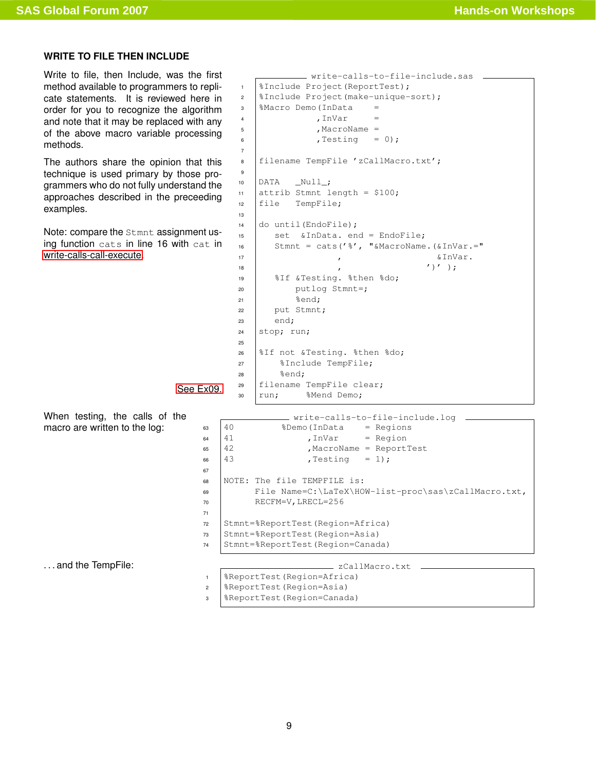### <span id="page-8-0"></span>**WRITE TO FILE THEN INCLUDE**

Write to file, then Include, was the first method available to programmers to replicate statements. It is reviewed here in order for you to recognize the algorithm and note that it may be replaced with any of the above macro variable processing methods.

The authors share the opinion that this technique is used primary by those programmers who do not fully understand the approaches described in the preceeding examples.

Note: compare the Stmnt assignment using function cats in line 16 with cat in [write-calls-call-execute.](#page-10-0)

[See Ex09.](#page-17-1)

When testing, the calls of the macro are written to the log:

... and the TempFile:  $\overline{\qquad}$  zCallMacro.txt .

1 | *SInclude Project* (ReportTest);  $2 \frac{1}{2}$  | \$Include Project (make-unique-sort);  $3 \left| \text{%Maccro Demo (InData} \right| =$ 4 , InVar  $5$  , MacroName =  $6 \quad | \quad$  , Testing = 0); 7 8 | filename TempFile 'zCallMacro.txt'; 9  $10$  DATA \_Null\_; 11 attrib Stmnt length =  $$100;$ <sup>12</sup> file TempFile; 13 <sup>14</sup> do until(EndoFile); 15 set & InData. end = EndoFile; 16 Stmnt = cats('%', " $\&$ MacroName.( $&$ InVar.="  $\frac{17}{17}$  ,  $\frac{1}{27}$  ,  $\frac{1}{27}$  ,  $\frac{1}{27}$  ,  $\frac{1}{27}$  ,  $\frac{1}{27}$  ,  $\frac{1}{27}$  ,  $\frac{1}{27}$  ,  $\frac{1}{27}$  ,  $\frac{1}{27}$  ,  $\frac{1}{27}$  ,  $\frac{1}{27}$  ,  $\frac{1}{27}$  ,  $\frac{1}{27}$  ,  $\frac{1}{27}$  ,  $\frac{1}{27}$  ,  $\frac{1}{27}$  ,  $\begin{array}{ccc} \n\hline\n18 & 12 \\
\hline\n\end{array}$ 19 | %If &Testing. %then %do; 20 putlog Stmnt=;  $21$  %end; 22 put Stmnt;  $23$  end;  $24$  stop; run; 25 <sup>26</sup> %If not &Testing. %then %do; 27 | %Include TempFile; <sup>28</sup> %end; <sup>29</sup> filename TempFile clear; 30 run; %Mend Demo;

write-calls-to-file-include.sas

write-calls-to-file-include.log  $63 \mid 40$  %Demo(InData = Regions  $64 \t 41$  , InVar = Region 65 42 , MacroName = ReportTest 66  $43$ , Testing = 1); 67 <sup>68</sup> NOTE: The file TEMPFILE is: <sup>69</sup> File Name=C:\LaTeX\HOW-list-proc\sas\zCallMacro.txt, 70 RECFM=V, LRECL=256 71 <sup>72</sup> Stmnt=%ReportTest(Region=Africa) <sup>73</sup> Stmnt=%ReportTest(Region=Asia) <sup>74</sup> Stmnt=%ReportTest(Region=Canada)

<sup>1</sup> %ReportTest(Region=Africa)

<sup>2</sup> %ReportTest(Region=Asia)

<sup>3</sup> %ReportTest(Region=Canada)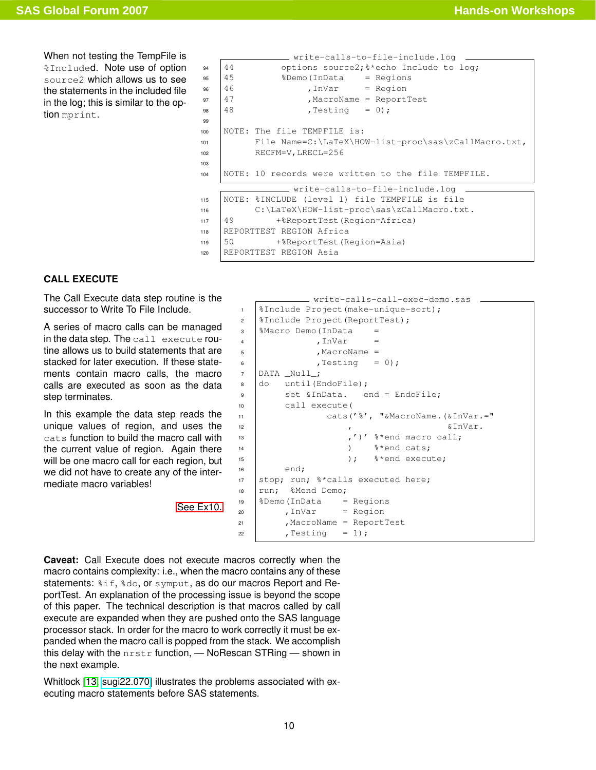When not testing the TempFile is %Included. Note use of option source2 which allows us to see the statements in the included file in the log; this is similar to the option mprint.

```
- write-calls-to-file-include.log
94 44 options source2;<sup>8*</sup>echo Include to log;
95 \mid 45 %Demo(InData = Regions
96 \mid 46 , InVar = Region
97 \mid 47 , MacroName = ReportTest
98 \t 48 , Testing = 0);
99
100 NOTE: The file TEMPFILE is:
101 File Name=C:\LaTeX\HOW-list-proc\sas\zCallMacro.txt,
102 RECFM=V, LRECL=256
103
104 NOTE: 10 records were written to the file TEMPFILE.
               - write-calls-to-file-include.log
115 NOTE: %INCLUDE (level 1) file TEMPFILE is file
116 C:\LaTeX\HOW-list-proc\sas\zCallMacro.txt.
117 49 +%ReportTest(Region=Africa)
118 REPORTTEST REGION Africa
119 50 +%ReportTest(Region=Asia)
120 REPORTTEST REGION Asia
```
### <span id="page-9-0"></span>**CALL EXECUTE**

The Call Execute data step routine is the successor to Write To File Include.

A series of macro calls can be managed in the data step. The call execute routine allows us to build statements that are stacked for later execution. If these statements contain macro calls, the macro calls are executed as soon as the data step terminates.

In this example the data step reads the unique values of region, and uses the cats function to build the macro call with the current value of region. Again there will be one macro call for each region, but we did not have to create any of the intermediate macro variables!

[See Ex10.](#page-18-1)

```
write-calls-call-exec-demo.sas
1 %Include Project(make-unique-sort);
2 | SInclude Project (ReportTest);
3 \mid %Macro Demo(InData =
\frac{4}{100}, InVar =
5 \mid , MacroName =
6 \mid , Testing = 0);
7 DATA _Null_;
8 do until (EndoFile);
9 | set & InData. end = EndoFile;
10 call execute(
11 | cats('%', "&MacroName.(&InVar.="
\sum_{12} , \sum_{12} , \sum_{12} , \sum_{12} , \sum_{12} , \sum_{12} , \sum_{12} , \sum_{12} , \sum_{12} , \sum_{12} , \sum_{12} , \sum_{12} , \sum_{12} , \sum_{12} , \sum_{12} , \sum_{12} , \sum_{12} , \sum_{12} , \sum_{12} , \sum_{12} , 13 , \frac{1}{3} , \frac{1}{3} , \frac{1}{3} and macro call;
14 | \frac{1}{2} + \frac{1}{2} + \frac{1}{2} + \frac{1}{2} + \frac{1}{2} + \frac{1}{2} + \frac{1}{2} + \frac{1}{2} + \frac{1}{2} + \frac{1}{2} + \frac{1}{2} + \frac{1}{2} + \frac{1}{2} + \frac{1}{2} + \frac{1}{2} + \frac{1}{2} + \frac{1}{2} + \frac{1}{2} 
\frac{1}{15} ); \frac{8}{10} execute;
16 end;
17 stop; run; \frac{1}{2} calls executed here;
18 | run; %Mend Demo;
19 \mid %Demo(InData = Regions
20 , InVar = Region
21 | , MacroName = ReportTest
22 , Testing = 1);
```
<span id="page-9-1"></span>**Caveat:** Call Execute does not execute macros correctly when the macro contains complexity: i.e., when the macro contains any of these statements:  $\frac{1}{2}$ if,  $\frac{2}{3}$ do, or symput, as do our macros Report and ReportTest. An explanation of the processing issue is beyond the scope of this paper. The technical description is that macros called by call execute are expanded when they are pushed onto the SAS language processor stack. In order for the macro to work correctly it must be expanded when the macro call is popped from the stack. We accomplish this delay with the nrstr function, — NoRescan STRing — shown in the next example.

Whitlock [\[13,](#page-13-1) [sugi22.070\]](http://www2.sas.com/proceedings/sugi22/CODERS/PAPER70.PDF) illustrates the problems associated with executing macro statements before SAS statements.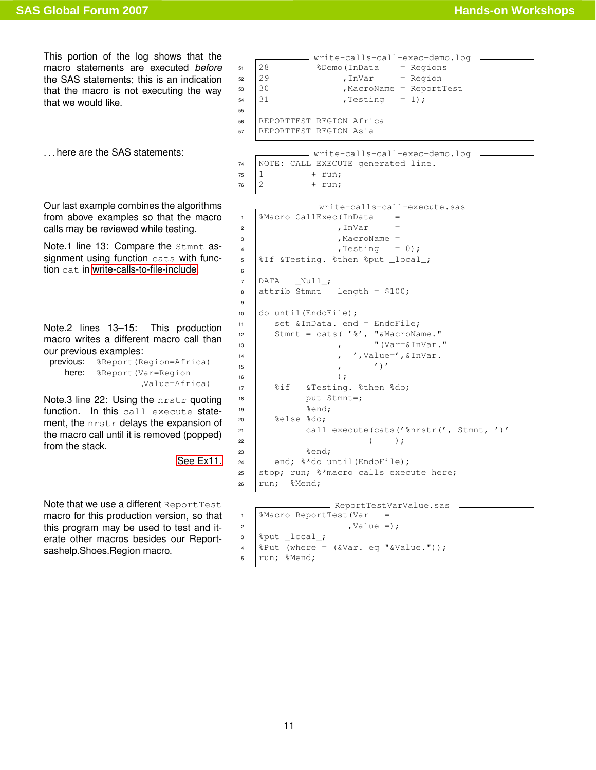This portion of the log shows that the macro statements are executed *before* the SAS statements; this is an indication that the macro is not executing the way that we would like.

<span id="page-10-0"></span>Our last example combines the algorithms from above examples so that the macro calls may be reviewed while testing.

Note.1 line 13: Compare the Stmnt assignment using function cats with function cat in [write-calls-to-file-include.](#page-7-1)

Note.2 lines 13–15: This production macro writes a different macro call than our previous examples:

previous: %Report(Region=Africa) here: %Report(Var=Region ,Value=Africa)

Note.3 line 22: Using the nrstr quoting function. In this call execute statement, the nrstr delays the expansion of the macro call until it is removed (popped) from the stack.

[See Ex11.](#page-18-0)

55

6

9

Note that we use a different Report Test macro for this production version, so that this program may be used to test and iterate other macros besides our Reportsashelp.Shoes.Region macro.

```
write-calls-call-exec-demo.log
51 \mid 28 %Demo(InData = Regions
52 \mid 29 , InVar = Region
53 \mid 30 , MacroName = ReportTest
54 \mid 31 , Testing = 1);
56 REPORTTEST REGION Africa
57 REPORTTEST REGION Asia
```

```
... here are the SAS statements: \frac{1}{2} write-calls-call-exec-demo.log
                                  74 NOTE: CALL EXECUTE generated line.
                                  75 \mid 1 + run;
                                  76 \mid 2 + run;
```

```
write-calls-call-execute.sas
1 | %Macro CallExec(InData =
2 \mid , InVar =
3 \mid , MacroName =
\begin{array}{ccc} 4 & \vert & \end{array} , Testing = 0);
5 \frac{\sqrt{3}}{2} silf & Testing. $then $put local;
7 DATA _Null_;
\frac{1}{8} attrib Stmnt length = $100;
10 do until(EndoFile);
11 set & InData. end = EndoFile;
12 Stmnt = cats(1\frac{1}{6}, "&MacroName."
\frac{1}{13} , "(Var=&InVar."
\begin{array}{ccc} \text{14} & \text{ } \\ \text{14} & \text{ } \end{array}, \begin{array}{ccc} \text{16} & \text{17} \\ \text{18} & \text{18} \end{array}\frac{15}{15} , \frac{1}{10}\overline{\phantom{a}} );
17 | %if &Testing. %then %do;
18 put Stmnt=;
19 \text{send:}20 %else %do;
21 call execute(cats('%nrstr(', Stmnt, ')'
22 ) );
23 \text{Rend};
24 end; \text{\textdegree}^*do until(EndoFile);
25 stop; run; * macro calls execute here;
26 run; %Mend;
```

```
ReportTestVarValue.sas
1 %Macro ReportTest(Var =
\mathsf{value} = \mathsf{)};
\frac{1}{2} \sqrt{\frac{1}{2}}\frac{1}{4} | & Put (where = (& Var. eq " & Value."));
5 | run; %Mend;
```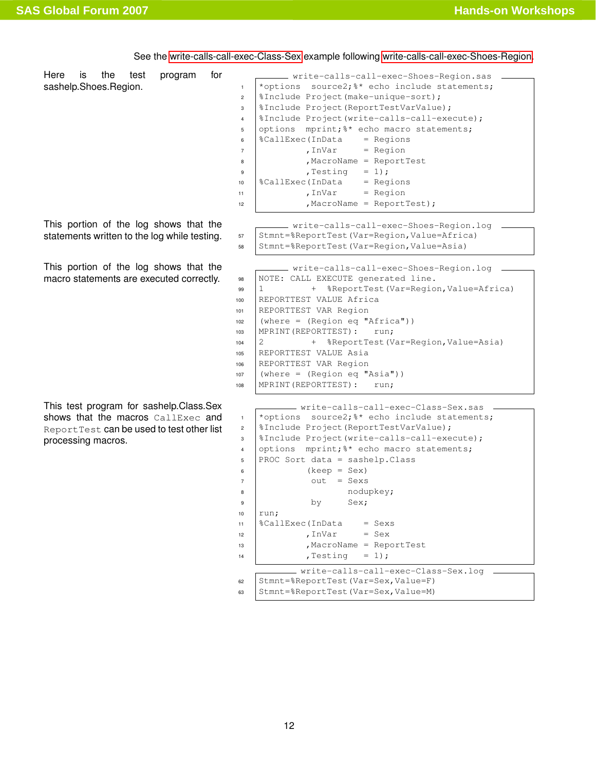<span id="page-11-1"></span>Here is the test program for sashelp.Shoes.Region. write-calls-call-exec-Shoes-Region.sas 1 \*options source2;<sup>&\*</sup> echo include statements;  $2 \frac{1}{2}$  | \$Include Project (make-unique-sort); <sup>3</sup> %Include Project(ReportTestVarValue); 4 | *SInclude Project* (write-calls-call-execute) ; 5 options mprint; \*\* echo macro statements;  $6 \left| \text{{\%CallExec(InData} \quad = \text{{\&P}}$  $7 \mid$  , InVar = Region 8 MacroName = ReportTest  $\overline{\phantom{a}}$  , Testing = 1);  $10 \left[ \text{ScallExec(InData} \right] = \text{Regions}$  $11$  , InVar = Region  $12$  , MacroName = ReportTest); This portion of the log shows that the statements written to the log while testing. write-calls-call-exec-Shoes-Region.log 57 Stmnt=%ReportTest(Var=Region,Value=Africa) <sup>58</sup> Stmnt=%ReportTest(Var=Region,Value=Asia) This portion of the log shows that the macro statements are executed correctly. write-calls-call-exec-Shoes-Region.log 98 | NOTE: CALL EXECUTE generated line. <sup>99</sup> 1 + %ReportTest(Var=Region,Value=Africa) <sup>100</sup> REPORTTEST VALUE Africa <sup>101</sup> REPORTTEST VAR Region <sup>102</sup> (where = (Region eq "Africa")) 103 | MPRINT (REPORTTEST): run; <sup>104</sup> 2 + %ReportTest(Var=Region,Value=Asia) <sup>105</sup> REPORTTEST VALUE Asia <sup>106</sup> REPORTTEST VAR Region <sup>107</sup> (where = (Region eq "Asia")) 108 | MPRINT (REPORTTEST) : run; This test program for sashelp.Class.Sex shows that the macros CallExec and ReportTest can be used to test other list processing macros. write-calls-call-exec-Class-Sex.sas <sup>1</sup> \*options source2;%\* echo include statements; <sup>2</sup> %Include Project(ReportTestVarValue); <sup>3</sup> %Include Project(write-calls-call-execute); 4 options mprint; <sup>8\*</sup> echo macro statements;  $5$  PROC Sort data = sashelp. Class  $6 \quad$  (keep = Sex)  $7 \quad \text{out} \quad = \text{Sexs}$ 8 | nodupkey; 9 by Sex;  $10$  run;  $11$   $\&$  CallExec(InData = Sexs  $12$  , InVar = Sex

<span id="page-11-0"></span>13 | ,MacroName = ReportTest

<sup>62</sup> Stmnt=%ReportTest(Var=Sex,Value=F) 63 | Stmnt=%ReportTest(Var=Sex, Value=M)

write-calls-call-exec-Class-Sex.log

 $14$  , Testing = 1);

See the [write-calls-call-exec-Class-Sex](#page-11-0) example following [write-calls-call-exec-Shoes-Region.](#page-11-1)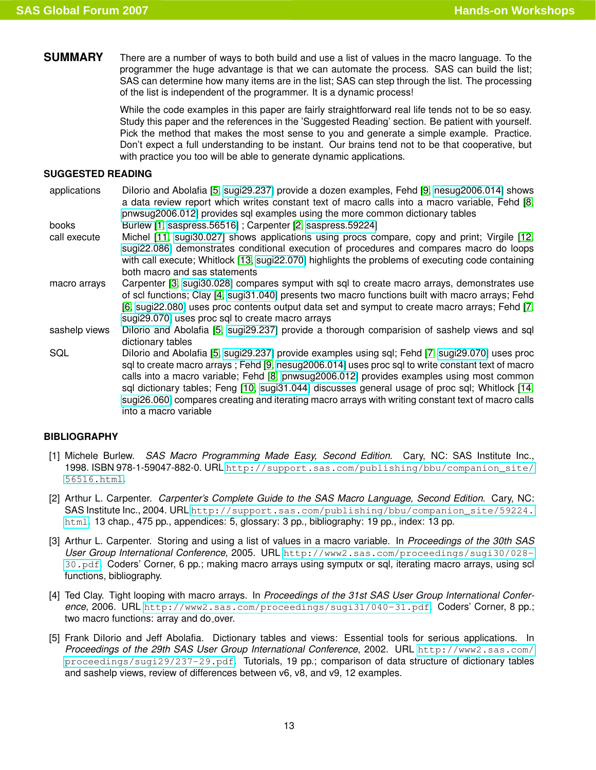<span id="page-12-0"></span>**SUMMARY** There are a number of ways to both build and use a list of values in the macro language. To the programmer the huge advantage is that we can automate the process. SAS can build the list; SAS can determine how many items are in the list; SAS can step through the list. The processing of the list is independent of the programmer. It is a dynamic process!

> While the code examples in this paper are fairly straightforward real life tends not to be so easy. Study this paper and the references in the 'Suggested Reading' section. Be patient with yourself. Pick the method that makes the most sense to you and generate a simple example. Practice. Don't expect a full understanding to be instant. Our brains tend not to be that cooperative, but with practice you too will be able to generate dynamic applications.

### **SUGGESTED READING**

- <span id="page-12-1"></span>applications DiIorio and Abolafia [\[5,](#page-12-3) [sugi29.237\]](http://www2.sas.com/proceedings/sugi29/237-29.pdf) provide a dozen examples, Fehd [\[9,](#page-13-2) [nesug2006.014\]](http://www.nesug.info/Proceedings/nesug06/cc/cc14.pdf) shows a data review report which writes constant text of macro calls into a macro variable, Fehd [\[8,](#page-13-0) [pnwsug2006.012\]](http://www.pnwsug.com/Conference_2006/Procedings/PNWSUGotherfiles/PN12FehdSQL.pdf) provides sql examples using the more common dictionary tables books Burlew [\[1,](#page-12-4) [saspress.56516\]](http://support.sas.com/publishing/bbu/companion_site/56516.html) ; Carpenter [\[2,](#page-12-5) [saspress.59224\]](http://support.sas.com/publishing/bbu/companion_site/59224.html) call execute Michel [\[11,](#page-13-3) [sugi30.027\]](http://www2.sas.com/proceedings/sugi30/027-30.pdf) shows applications using procs compare, copy and print; Virgile [\[12,](#page-13-4) [sugi22.086\]](http://www2.sas.com/proceedings/sugi22/CODERS/PAPER86.pdf) demonstrates conditional execution of procedures and compares macro do loops with call execute; Whitlock [\[13,](#page-13-1) [sugi22.070\]](http://www2.sas.com/proceedings/sugi22/CODERS/PAPER70.pdf) highlights the problems of executing code containing both macro and sas statements macro arrays Carpenter [\[3,](#page-12-6) [sugi30.028\]](http://www2.sas.com/proceedings/sugi30/028-30.pdf) compares symput with sql to create macro arrays, demonstrates use of scl functions; Clay [\[4,](#page-12-7) [sugi31.040\]](http://www2.sas.com/proceedings/sugi31/040-31.pdf) presents two macro functions built with macro arrays; Fehd [\[6,](#page-13-5) [sugi22.080\]](http://www2.sas.com/proceedings/sugi22/CODERS/PAPER80.pdf) uses proc contents output data set and symput to create macro arrays; Fehd [\[7,](#page-13-6) [sugi29.070\]](http://www2.sas.com/proceedings/sugi29/070-29.pdf) uses proc sql to create macro arrays
- sashelp views Dilorio and Abolafia [\[5,](#page-12-3) [sugi29.237\]](http://www2.sas.com/proceedings/sugi29/237-29.pdf) provide a thorough comparision of sashelp views and sql dictionary tables
- SQL Dilorio and Abolafia [\[5,](#page-12-3) [sugi29.237\]](http://www2.sas.com/proceedings/sugi29/237-29.pdf) provide examples using sql; Fehd [\[7,](#page-13-6) [sugi29.070\]](http://www2.sas.com/proceedings/sugi29/070-29.pdf) uses proc sql to create macro arrays ; Fehd [\[9,](#page-13-2) [nesug2006.014\]](http://www.nesug.info/Proceedings/nesug06/cc/cc14.pdf) uses proc sql to write constant text of macro calls into a macro variable; Fehd [\[8,](#page-13-0) [pnwsug2006.012\]](http://www.pnwsug.com/Conference_2006/Procedings/PNWSUGotherfiles/PN12FehdSQL.pdf) provides examples using most common sql dictionary tables; Feng [\[10,](#page-13-7) [sugi31.044\]](http://www2.sas.com/proceedings/sugi31/044-31.pdf) discusses general usage of proc sql; Whitlock [\[14,](#page-13-8) [sugi26.060\]](http://www2.sas.com/proceedings/sugi26//p060-26.pdf) compares creating and iterating macro arrays with writing constant text of macro calls into a macro variable

### <span id="page-12-2"></span>**BIBLIOGRAPHY**

- <span id="page-12-4"></span>[1] Michele Burlew. *SAS Macro Programming Made Easy, Second Edition*. Cary, NC: SAS Institute Inc., 1998. ISBN 978-1-59047-882-0. URL [http://support.sas.com/publishing/bbu/companion\\_site/](http://support.sas.com/publishing/bbu/companion_site/56516.html) [56516.html](http://support.sas.com/publishing/bbu/companion_site/56516.html).
- <span id="page-12-5"></span>[2] Arthur L. Carpenter. *Carpenter's Complete Guide to the SAS Macro Language, Second Edition*. Cary, NC: SAS Institute Inc., 2004. URL [http://support.sas.com/publishing/bbu/companion\\_site/59224.](http://support.sas.com/publishing/bbu/companion_site/59224.html) [html](http://support.sas.com/publishing/bbu/companion_site/59224.html). 13 chap., 475 pp., appendices: 5, glossary: 3 pp., bibliography: 19 pp., index: 13 pp.
- <span id="page-12-6"></span>[3] Arthur L. Carpenter. Storing and using a list of values in a macro variable. In *Proceedings of the 30th SAS User Group International Conference*, 2005. URL [http://www2.sas.com/proceedings/sugi30/028-](http://www2.sas.com/proceedings/sugi30/028-30.pdf) [30.pdf](http://www2.sas.com/proceedings/sugi30/028-30.pdf). Coders' Corner, 6 pp.; making macro arrays using symputx or sql, iterating macro arrays, using scl functions, bibliography.
- <span id="page-12-7"></span>[4] Ted Clay. Tight looping with macro arrays. In *Proceedings of the 31st SAS User Group International Conference*, 2006. URL <http://www2.sas.com/proceedings/sugi31/040-31.pdf>. Coders' Corner, 8 pp.; two macro functions: array and do over.
- <span id="page-12-3"></span>[5] Frank DiIorio and Jeff Abolafia. Dictionary tables and views: Essential tools for serious applications. In *Proceedings of the 29th SAS User Group International Conference*, 2002. URL [http://www2.sas.com/](http://www2.sas.com/proceedings/sugi29/237-29.pdf) [proceedings/sugi29/237-29.pdf](http://www2.sas.com/proceedings/sugi29/237-29.pdf). Tutorials, 19 pp.; comparison of data structure of dictionary tables and sashelp views, review of differences between v6, v8, and v9, 12 examples.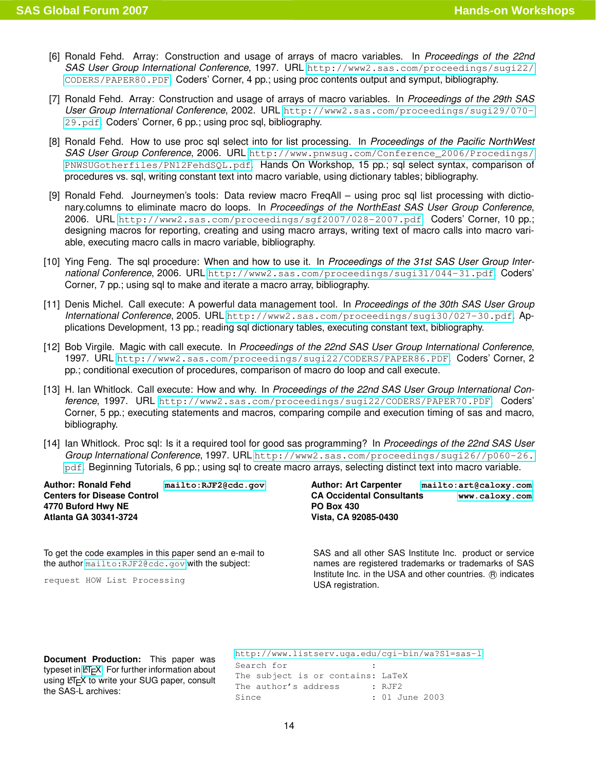- <span id="page-13-5"></span>[6] Ronald Fehd. Array: Construction and usage of arrays of macro variables. In *Proceedings of the 22nd SAS User Group International Conference*, 1997. URL [http://www2.sas.com/proceedings/sugi22/](http://www2.sas.com/proceedings/sugi22/CODERS/PAPER80.PDF) [CODERS/PAPER80.PDF](http://www2.sas.com/proceedings/sugi22/CODERS/PAPER80.PDF). Coders' Corner, 4 pp.; using proc contents output and symput, bibliography.
- <span id="page-13-6"></span>[7] Ronald Fehd. Array: Construction and usage of arrays of macro variables. In *Proceedings of the 29th SAS User Group International Conference*, 2002. URL [http://www2.sas.com/proceedings/sugi29/070-](http://www2.sas.com/proceedings/sugi29/070-29.pdf) [29.pdf](http://www2.sas.com/proceedings/sugi29/070-29.pdf). Coders' Corner, 6 pp.; using proc sql, bibliography.
- <span id="page-13-0"></span>[8] Ronald Fehd. How to use proc sql select into for list processing. In *Proceedings of the Pacific NorthWest SAS User Group Conference*, 2006. URL [http://www.pnwsug.com/Conference\\_2006/Procedings/](http://www.pnwsug.com/Conference_2006/Procedings/PNWSUGotherfiles/PN12FehdSQL.pdf) [PNWSUGotherfiles/PN12FehdSQL.pdf](http://www.pnwsug.com/Conference_2006/Procedings/PNWSUGotherfiles/PN12FehdSQL.pdf). Hands On Workshop, 15 pp.; sql select syntax, comparison of procedures vs. sql, writing constant text into macro variable, using dictionary tables; bibliography.
- <span id="page-13-2"></span>[9] Ronald Fehd. Journeymen's tools: Data review macro FreqAll – using proc sql list processing with dictionary.columns to eliminate macro do loops. In *Proceedings of the NorthEast SAS User Group Conference*, 2006. URL <http://www2.sas.com/proceedings/sgf2007/028-2007.pdf>. Coders' Corner, 10 pp.; designing macros for reporting, creating and using macro arrays, writing text of macro calls into macro variable, executing macro calls in macro variable, bibliography.
- <span id="page-13-7"></span>[10] Ying Feng. The sql procedure: When and how to use it. In *Proceedings of the 31st SAS User Group International Conference*, 2006. URL <http://www2.sas.com/proceedings/sugi31/044-31.pdf>. Coders' Corner, 7 pp.; using sql to make and iterate a macro array, bibliography.
- <span id="page-13-3"></span>[11] Denis Michel. Call execute: A powerful data management tool. In *Proceedings of the 30th SAS User Group International Conference*, 2005. URL <http://www2.sas.com/proceedings/sugi30/027-30.pdf>. Applications Development, 13 pp.; reading sql dictionary tables, executing constant text, bibliography.
- <span id="page-13-4"></span>[12] Bob Virgile. Magic with call execute. In *Proceedings of the 22nd SAS User Group International Conference*, 1997. URL <http://www2.sas.com/proceedings/sugi22/CODERS/PAPER86.PDF>. Coders' Corner, 2 pp.; conditional execution of procedures, comparison of macro do loop and call execute.
- <span id="page-13-1"></span>[13] H. Ian Whitlock. Call execute: How and why. In *Proceedings of the 22nd SAS User Group International Conference*, 1997. URL <http://www2.sas.com/proceedings/sugi22/CODERS/PAPER70.PDF>. Coders' Corner, 5 pp.; executing statements and macros, comparing compile and execution timing of sas and macro, bibliography.
- <span id="page-13-8"></span>[14] Ian Whitlock. Proc sql: Is it a required tool for good sas programming? In *Proceedings of the 22nd SAS User Group International Conference*, 1997. URL [http://www2.sas.com/proceedings/sugi26//p060-26.](http://www2.sas.com/proceedings/sugi26//p060-26.pdf) [pdf](http://www2.sas.com/proceedings/sugi26//p060-26.pdf). Beginning Tutorials, 6 pp.; using sql to create macro arrays, selecting distinct text into macro variable.

**Author: Ronald Fehd <mailto:RJF2@cdc.gov> Centers for Disease Control 4770 Buford Hwy NE Atlanta GA 30341-3724**

To get the code examples in this paper send an e-mail to the author <mailto:RJF2@cdc.gov> with the subject:

request HOW List Processing

**Author: Art Carpenter <mailto:art@caloxy.com> CA Occidental Consultants <www.caloxy.com> PO Box 430 Vista, CA 92085-0430**

SAS and all other SAS Institute Inc. product or service names are registered trademarks or trademarks of SAS Institute Inc. in the USA and other countries. (R) indicates USA registration.

**Document Production:** This paper was typeset in LA[TEX.](http://www.latex-project.org/) For further information about using LATEX to write your SUG paper, consult the SAS-L archives:

<http://www.listserv.uga.edu/cgi-bin/wa?S1=sas-l> Search for : The subject is or contains: LaTeX The author's address : RJF2 Since : 01 June 2003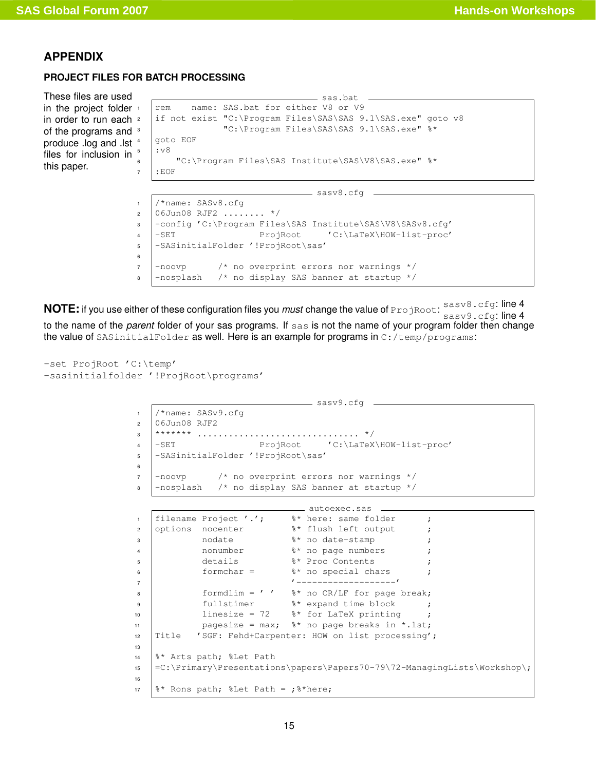## **APPENDIX**

### <span id="page-14-1"></span><span id="page-14-0"></span>**PROJECT FILES FOR BATCH PROCESSING**

```
These files are used
in the project folder +
in order to run each <sup>2</sup>
of the programs and <sup>3</sup>
produce .log and .lst<sup>4</sup>
files for inclusion in 5this paper.
```

```
sas.bat
rem name: SAS.bat for either V8 or V9
if not exist "C:\Program Files\SAS\SAS 9.1\SAS.exe" goto v8
             "C:\Program Files\SAS\SAS 9.1\SAS.exe" %*
4 goto EOF
5 :v8
    "C:\Program Files\SAS Institute\SAS\V8\SAS.exe" %*
7 :EOF
```

```
sasv8.cfg -
1 /*name: SASv8.cfg
2 \mid 06Jun08 RJF2 ........ */
3 |-config 'C:\Program Files\SAS Institute\SAS\V8\SASv8.cfg'
4 -SET ProjRoot 'C:\LaTeX\HOW-list-proc'
5 -SASinitialFolder '!ProjRoot\sas'
6
7 -noovp /* no overprint errors nor warnings */
8 -nosplash /* no display SAS banner at startup */
```
**NOTE:** if you use either of these configuration files you *must* change the value of ProjRoot: sasv8.cfg: line 4 sasv9.cfg: line 4 to the name of the *parent* folder of your sas programs. If sas is not the name of your program folder then change the value of SASinitialFolder as well. Here is an example for programs in C:/temp/programs:

```
-set ProjRoot 'C:\temp'
-sasinitialfolder '!ProjRoot\programs'
```

```
\frac{1}{1} sasv9.cfq \frac{1}{1}1 /*name: SASv9.cfg
2 06Jun08 RJF2
3 ******* ............................... */
4 -SET ProjRoot 'C:\LaTeX\HOW-list-proc'
5 -SASinitialFolder '!ProjRoot\sas'
6
7 -noovp /* no overprint errors nor warnings */
8 -nosplash /* no display SAS banner at startup */
                               autoexec.sas _____<br>%* here: same folder
1 | filename Project '.'; \ast here: same folder ;
2 options nocenter at * flush left output ;
3 nodate \frac{1}{3} s<sup>*</sup> no date-stamp ;
4 nonumber \frac{1}{3} are numbers;
5 details \frac{1}{3} \frac{1}{3} \frac{1}{2} \frac{1}{2} \frac{1}{2} \frac{1}{2} \frac{1}{2} \frac{1}{2} \frac{1}{2} \frac{1}{2} \frac{1}{2} \frac{1}{2} \frac{1}{2} \frac{1}{2} \frac{1}{2} \frac{1}{2} \frac{1}{2} \frac{1}{2} \frac{1}{2} \frac{1}{2} \frac{1}{2} \6 \mid formchar = 8* no special chars
7 '-------------------'
8 \mid formdlim = ' ' 8 \times no CR/LF for page break;
9 fullstimer %* expand time block ;
10 | linesize = 72 \frac{1}{3} for LaTeX printing ;
11 | pagesize = max; \frac{8}{10} no page breaks in *.1st;
12 Title 'SGF: Fehd+Carpenter: HOW on list processing';
13
14 \frac{1}{8} Arts path; \frac{1}{8}Let Path
15 =C:\Primary\Presentations\papers\Papers70-79\72-ManagingLists\Workshop\;
16
17 \frac{12}{3} Rons path; \frac{12}{3} Path = ; \frac{12}{3} here;
```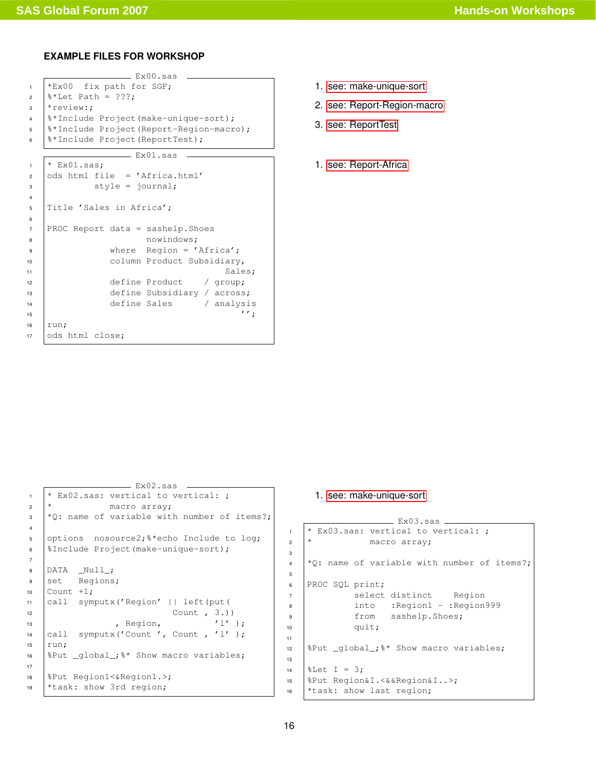## <span id="page-15-0"></span>**EXAMPLE FILES FOR WORKSHOP**

```
- Ex00.sas -\starEx00 fix path for SGF;
2 \frac{1}{2} \frac{1}{2} \frac{1}{2} \frac{1}{2} \frac{1}{2} \frac{1}{2} \frac{1}{2} \frac{1}{2} \frac{1}{2} \frac{1}{2} \frac{1}{2} \frac{1}{2} \frac{1}{2} \frac{1}{2} \frac{1}{2} \frac{1}{2} \frac{1}{2} \frac{1}{2} \frac{1}{2} \frac{1}{2} \frac{1}{2} \frac{1}{2}3 *review:;
4 %*Include Project(make-unique-sort);
5 %*Include Project(Report-Region-macro);
6 | %*Include Project (ReportTest);
                     \_ Ex01.sas \_1 * EX01.sas;2 \cdot \cdot \cdot ods html file = 'Africa.html'
\vert style = journal;
4
5 Title 'Sales in Africa';
6
7 PROC Report data = sashelp. Shoes
8 nowindows;
9 Where Region = 'Africa';
10 column Product Subsidiary,
11 Sales;
12 define Product / group;
13 define Subsidiary / across;
14 define Sales / analysis
\frac{15}{7}16 run;
17 ods html close;
```
- 1. [see: make-unique-sort](#page-2-2)
- 2. [see: Report-Region-macro](#page-2-3)
- 3. [see: ReportTest](#page-2-1)
- 1. [see: Report-Africa](#page-1-1)

```
\frac{1}{2} Ex02.sas
1 + \mathbb{K}02.sas: vertical to vertical: ;
2 \mid * \qquad \qquad \text{macro array;}\vert *0: name of variable with number of items?;
4
5 options nosource2;%*echo Include to log;
6 %Include Project(make-unique-sort);
7
8 DATA _Null_;
9 set Regions;
10 \vert Count +1;
11 call symputx('Region' || left(put(
12 Count , 3.)
13 , Region, '1' );
14 \vert call symputx ('Count ', Count , 'l' );
15 run;
16 |&Put _global_; &* Show macro variables;
17
18 %Put Region1<&Region1.>;
19 *task: show 3rd region;
```
### <span id="page-15-3"></span>1. [see: make-unique-sort](#page-2-2)

```
- Ex03.sas -1 + \mathbb{K}03.sas: vertical to vertical: ;
2 \mid * \qquad \qquad \text{macro array;}\frac{4}{2}: name of variable with number of items?;
6 PROC SQL print;
7 | select distinct Region
8 | into :Region1 - :Region999
9 from sashelp.Shoes;
10 quit;
12 \sqrt{8}Put \sqrt{9}lobal<sub>-</sub>\sqrt{8} Show macro variables;
14 | \text{Let} I = 3;15 %Put Region&I.<&&Region&I..>;
16 *task: show last region;
```
3

5

11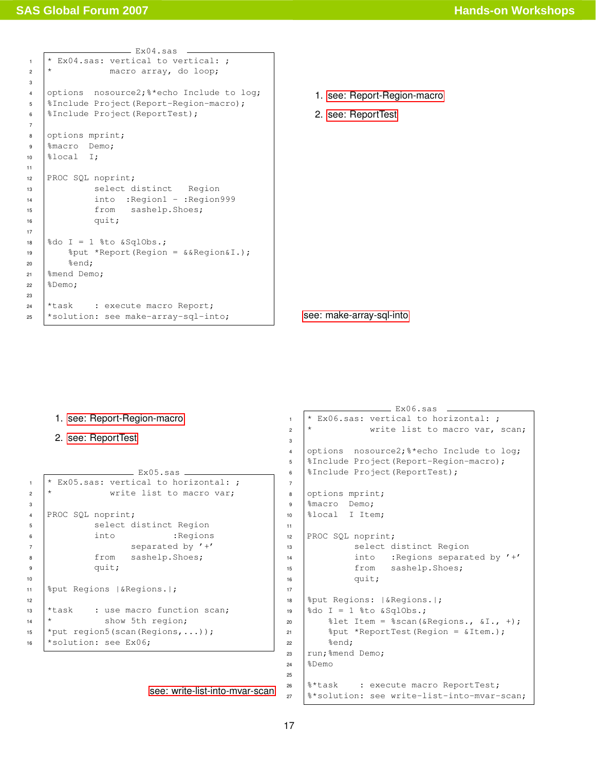<span id="page-16-0"></span>

|                         | - Ex04.sas                                    |   |  |  |  |  |
|-------------------------|-----------------------------------------------|---|--|--|--|--|
| $\mathbf{1}$            | * Ex04.sas: vertical to vertical: ;           |   |  |  |  |  |
| $\overline{a}$          | $^\star$<br>macro array, do loop;             |   |  |  |  |  |
| 3                       |                                               |   |  |  |  |  |
| $\overline{\mathbf{4}}$ | options nosource2; 8*echo Include to log;     |   |  |  |  |  |
| 5                       | %Include Project (Report-Region-macro);       |   |  |  |  |  |
| 6                       | %Include Project (ReportTest);                |   |  |  |  |  |
| $\overline{7}$          |                                               |   |  |  |  |  |
| 8                       | options mprint;                               |   |  |  |  |  |
| 9                       | %macro Demo;                                  |   |  |  |  |  |
| 10                      | %local I;                                     |   |  |  |  |  |
| 11                      |                                               |   |  |  |  |  |
| 12                      | PROC SQL noprint;                             |   |  |  |  |  |
| 13                      | select distinct Region                        |   |  |  |  |  |
| 14                      | into : Region1 - : Region999                  |   |  |  |  |  |
| 15                      | from sashelp. Shoes;                          |   |  |  |  |  |
| 16                      | quit;                                         |   |  |  |  |  |
| 17                      |                                               |   |  |  |  |  |
| 18                      | $\delta$ do I = 1 $\delta$ to & SqlObs.;      |   |  |  |  |  |
| 19                      | $\text{Fput}$ *Report (Region = &&Region&I.); |   |  |  |  |  |
| 20                      | %end;                                         |   |  |  |  |  |
| 21                      | %mend Demo;                                   |   |  |  |  |  |
| 22                      | %Demo;                                        |   |  |  |  |  |
| 23                      |                                               |   |  |  |  |  |
| 24                      | *task : execute macro Report;                 | S |  |  |  |  |
| 25                      | *solution: see make-array-sql-into;           |   |  |  |  |  |

- 1. [see: Report-Region-macro](#page-2-3)
- 2. [see: ReportTest](#page-2-1)

[see: make-array-sql-into](#page-5-1)

```
2. see: ReportTest
                \_ Ex05.sas \_1 + \times Ex05.sas: vertical to horizontal: ;
2 \mid * write list to macro var;
4 PROC SQL noprint;
5 | Select distinct Region
6 into : Regions
7 separated by '+'
8 from sashelp.Shoes;
9 quit;
11 %put Regions |&Regions.|;
```
<span id="page-16-2"></span>1. [see: Report-Region-macro](#page-2-3)

```
12
13 *task : use macro function scan;
14 * show 5th region;
15 \vert*put region5(scan(Regions,...));
16 *solution: see Ex06;
```

```
see: write-list-into-mvar-scan
```

```
= Ex06.sas =1 + \frac{1}{x} Ex06.sas: vertical to horizontal: ;
2 \mid * write list to macro var, scan;
4 options nosource2; **echo Include to log;
5 %Include Project(Report-Region-macro);
6 | SInclude Project (ReportTest);
8 options mprint;
9 <sup>8</sup> macro Demo;
10 %local I Item;
12 PROC SQL noprint;
13 | Select distinct Region
14 | into : Regions separated by '+'
15 from sashelp.Shoes;
16 quit;
18 %put Regions: |&Regions.|;
19 \deltado I = 1 \deltato \deltaSqlObs.;
20 \parallel \text{det} Item = \text{secan} (& Regions., \text{d}I \cdot, +);
21 \left| \right| \text{2put} \times \text{ReportTest} (Region = & Item.);
22 \text{send};
23 run; % mend Demo;
24 \& Demo
26 | <sup>8</sup>*task : execute macro ReportTest;
```
 $8*$ solution: see write-list-into-mvar-scan;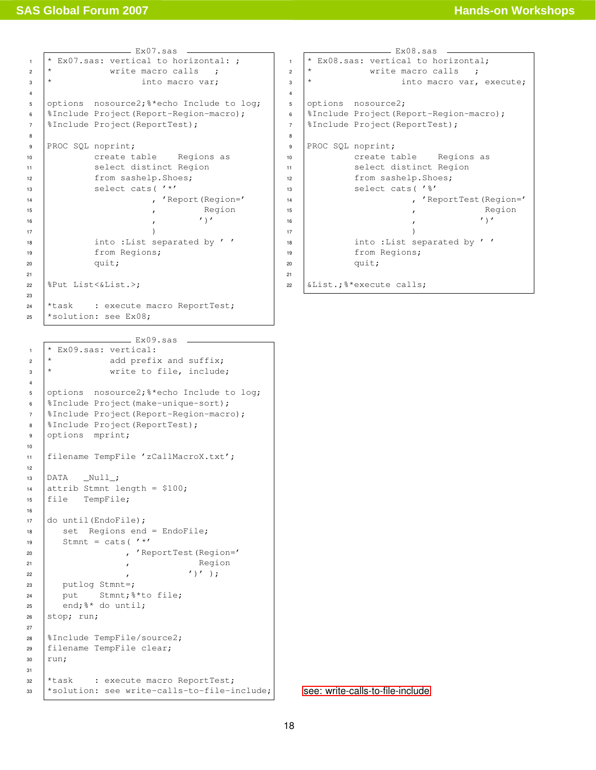<span id="page-17-2"></span>Ex07.sas  $1 + \text{Ex07.sas: vertical to horizontal: };$  $2 \mid *$  write macro calls ;  $\vert \cdot \vert$  into macro var; 4 <sup>5</sup> options nosource2;%\*echo Include to log; <sup>6</sup> %Include Project(Report-Region-macro); <sup>7</sup> SInclude Project (ReportTest); 8 9 PROC SQL noprint; 10 create table Regions as 11 select distinct Region 12 from sashelp.Shoes; 13 select cats (  $' *'$ 14 | Report (Region=' 15 Region  $\begin{array}{ccc} \hline \end{array}$  ,  $\begin{array}{ccc} \hline \end{array}$  ,  $\begin{array}{ccc} \hline \end{array}$  $\overline{17}$  ) 18 into :List separated by '' <sup>19</sup> from Regions; <sup>20</sup> quit; 21 <sup>22</sup> %Put List<&List.>; 23 <sup>24</sup> \*task : execute macro ReportTest; <sup>25</sup> \*solution: see Ex08;

<span id="page-17-1"></span> $-$  Ex09.sas  $1$  \* Ex09.sas: vertical:  $2 \times$  add prefix and suffix;  $\vert \cdot \vert$  write to file, include; 4 5 options nosource2; \*\*echo Include to log; <sup>6</sup> %Include Project(make-unique-sort); <sup>7</sup> %Include Project(Report-Region-macro); 8 | *SInclude Project* (ReportTest); 9 options mprint; 10 <sup>11</sup> filename TempFile 'zCallMacroX.txt'; 12 <sup>13</sup> DATA \_Null\_; 14 attrib Stmnt length =  $$100;$ <sup>15</sup> file TempFile; 16 <sup>17</sup> do until(EndoFile); 18 set Regions end = EndoFile; 19 Stmnt = cats( $'$ \*' 20 | ReportTest(Region=' 21 Region  $\overline{22}$  ,  $\overline{11}$ ,  $\overline{11}$ ,  $\overline{11}$ <sup>23</sup> putlog Stmnt=; <sup>24</sup> put Stmnt;%\*to file;  $25$  end;  $\frac{1}{6}$  do until; <sup>26</sup> stop; run; 27 <sup>28</sup> %Include TempFile/source2; <sup>29</sup> filename TempFile clear;  $30$  run; 31  $\frac{32}{12}$  \*task : execute macro ReportTest;  $\overline{\phantom{a}}$  \*solution: see write-calls-to-file-include; **See: write-calls-to-file-include** 

```
Ex08.sas
1 + Ex08.sas: vertical to horizontal;
2 \mid * write macro calls ;
\frac{1}{3} \star into macro var, execute;
5 options nosource2;
6 %Include Project(Report-Region-macro);
<sup>7</sup> SInclude Project (ReportTest);
9 PROC SQL noprint;
10 | create table Regions as
11 | Select distinct Region
12 from sashelp.Shoes;
13 select cats ('%'
14 | ReportTest(Region='
15 Region
\begin{array}{ccc} 16 & & & \end{array}\overline{\mathbf{17}} )
18 | into :List separated by ''
19 from Regions;
20 quit;
22 | &List.; \frac{1}{2} \times execute calls;
```
4

8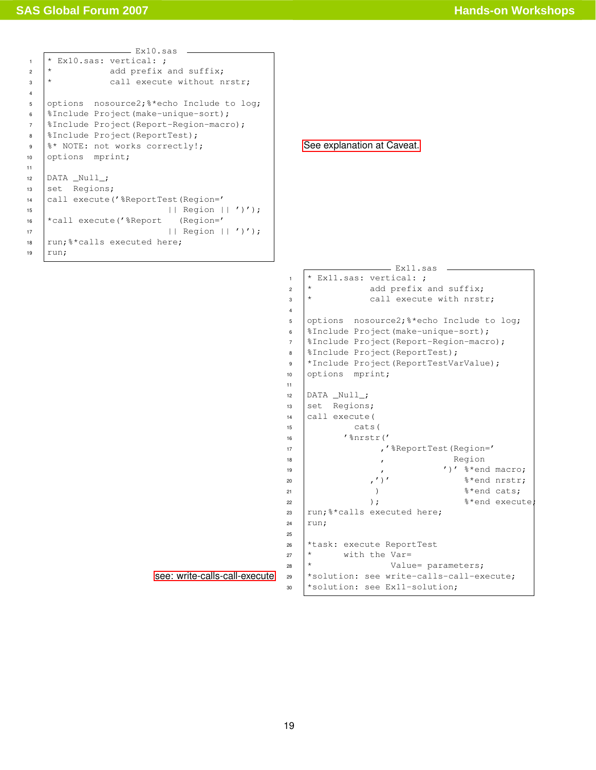<span id="page-18-1"></span>

|                | Ex10.sas                                  |                            |  |  |  |
|----------------|-------------------------------------------|----------------------------|--|--|--|
| $\mathbf{1}$   | * Ex10.sas: vertical: ;                   |                            |  |  |  |
| $\overline{a}$ | add prefix and suffix;<br>$\star$         |                            |  |  |  |
| 3              | call execute without nrstr;<br>$\star$    |                            |  |  |  |
| 4              |                                           |                            |  |  |  |
| 5              | options nosource2; 8*echo Include to log; |                            |  |  |  |
| 6              | %Include Project(make-unique-sort);       |                            |  |  |  |
| $\overline{7}$ | %Include Project (Report-Region-macro);   |                            |  |  |  |
| 8              | %Include Project (ReportTest);            |                            |  |  |  |
| 9              | %* NOTE: not works correctly!;            | See explanation at Caveat. |  |  |  |
| 10             | options mprint;                           |                            |  |  |  |
| 11             |                                           |                            |  |  |  |
| 12             | DATA Null ;                               |                            |  |  |  |
| 13             | set Regions;                              |                            |  |  |  |
| 14             | call execute ('%ReportTest (Region='      |                            |  |  |  |
| 15             | Region $   ' )'$ ;<br>$\perp$             |                            |  |  |  |
| 16             | *call execute ('%Report<br>$(Region='$    |                            |  |  |  |
| 17             | Region $   ' )'$ ;                        |                            |  |  |  |
| 18             | run;%*calls executed here;                |                            |  |  |  |
| 19             | run;                                      |                            |  |  |  |
|                |                                           |                            |  |  |  |

<span id="page-18-0"></span>[see: write-calls-call-execute](#page-10-0) Ex11.sas  $\vert * \vert$  Ex11.sas: vertical: ;  $2 \mid *$  add prefix and suffix;  $\vert * \vert$  call execute with nrstr; options nosource2;%\*echo Include to log; 6 | *SInclude Project* (make-unique-sort); %Include Project(Report-Region-macro); 8 | *SInclude Project* (ReportTest); \*Include Project(ReportTestVarValue); 10 options mprint; DATA  $Null$ ; set Regions; call execute ( cats( 16 | '%nrstr(' 17 | **'**%ReportTest(Region=' 18 , Region 19  $\begin{pmatrix} 19 \\ 20 \end{pmatrix}$  ,  $\begin{pmatrix} 1 \end{pmatrix}$ ,  $\begin{pmatrix} 1 \end{pmatrix}$ ,  $\begin{pmatrix} 1 \end{pmatrix}$ ,  $\begin{pmatrix} 1 \end{pmatrix}$ ,  $\begin{pmatrix} 1 \end{pmatrix}$ ,  $\begin{pmatrix} 1 \end{pmatrix}$ ,  $\begin{pmatrix} 1 \end{pmatrix}$ ,  $\begin{pmatrix} 1 \end{pmatrix}$ ,  $\begin{pmatrix} 1 \end{pmatrix}$ ,  $\begin{pmatrix} 1 \end{pmatrix}$ ,  $\begin{pmatrix} 1 \end{pmatrix$  $\binom{20}{20}$  ,  $\binom{1}{2}$  % and nrstr;  $\frac{1}{21}$  )  $\frac{1}{21}$   $\frac{1}{21}$   $\frac{1}{21}$   $\frac{1}{21}$   $\frac{1}{21}$   $\frac{1}{21}$   $\frac{1}{21}$   $\frac{1}{21}$   $\frac{1}{21}$   $\frac{1}{21}$   $\frac{1}{21}$   $\frac{1}{21}$   $\frac{1}{21}$   $\frac{1}{21}$   $\frac{1}{21}$   $\frac{1}{21}$   $\frac{1}{21}$   $\frac{1}{21}$   $\frac{1}{21}$ 22 );  $\frac{1}{2}$  and execute; 23  $\vert$  run; % \* calls executed here; run; \*task: execute ReportTest  $\star$  with the Var=  $\star$  Value= parameters; \*solution: see write-calls-call-execute; \*solution: see Ex11-solution;